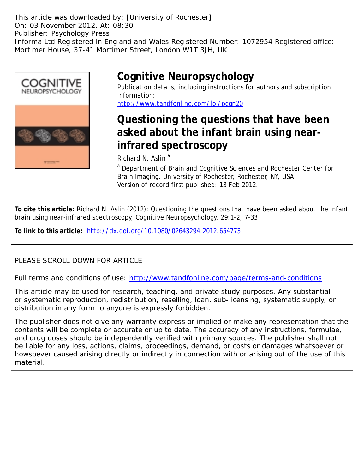This article was downloaded by: [University of Rochester] On: 03 November 2012, At: 08:30 Publisher: Psychology Press Informa Ltd Registered in England and Wales Registered Number: 1072954 Registered office: Mortimer House, 37-41 Mortimer Street, London W1T 3JH, UK



# **Cognitive Neuropsychology**

Publication details, including instructions for authors and subscription information:

<http://www.tandfonline.com/loi/pcgn20>

# **Questioning the questions that have been asked about the infant brain using nearinfrared spectroscopy**

Richard N. Aslin<sup>a</sup>

<sup>a</sup> Department of Brain and Cognitive Sciences and Rochester Center for Brain Imaging, University of Rochester, Rochester, NY, USA Version of record first published: 13 Feb 2012.

**To cite this article:** Richard N. Aslin (2012): Questioning the questions that have been asked about the infant brain using near-infrared spectroscopy, Cognitive Neuropsychology, 29:1-2, 7-33

**To link to this article:** <http://dx.doi.org/10.1080/02643294.2012.654773>

## PLEASE SCROLL DOWN FOR ARTICLE

Full terms and conditions of use:<http://www.tandfonline.com/page/terms-and-conditions>

This article may be used for research, teaching, and private study purposes. Any substantial or systematic reproduction, redistribution, reselling, loan, sub-licensing, systematic supply, or distribution in any form to anyone is expressly forbidden.

The publisher does not give any warranty express or implied or make any representation that the contents will be complete or accurate or up to date. The accuracy of any instructions, formulae, and drug doses should be independently verified with primary sources. The publisher shall not be liable for any loss, actions, claims, proceedings, demand, or costs or damages whatsoever or howsoever caused arising directly or indirectly in connection with or arising out of the use of this material.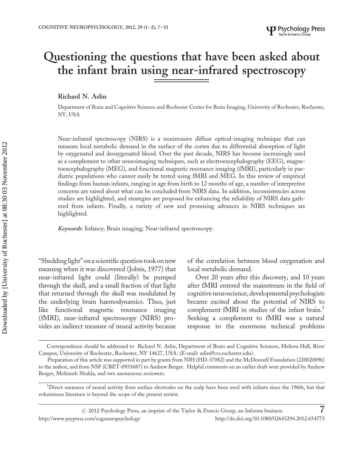# Questioning the questions that have been asked about the infant brain using near-infrared spectroscopy

Richard N. Aslin

Department of Brain and Cognitive Sciences and Rochester Center for Brain Imaging, University of Rochester, Rochester, NY, USA

Near-infrared spectroscopy (NIRS) is a noninvasive diffuse optical-imaging technique that can measure local metabolic demand in the surface of the cortex due to differential absorption of light by oxygenated and deoxygenated blood. Over the past decade, NIRS has become increasingly used as a complement to other neuroimaging techniques, such as electroencephalography (EEG), magnetoencephalography (MEG), and functional magnetic resonance imaging (fMRI), particularly in paediatric populations who cannot easily be tested using fMRI and MEG. In this review of empirical findings from human infants, ranging in age from birth to 12 months of age, a number of interpretive concerns are raised about what can be concluded from NIRS data. In addition, inconsistencies across studies are highlighted, and strategies are proposed for enhancing the reliability of NIRS data gathered from infants. Finally, a variety of new and promising advances in NIRS techniques are highlighted.

Keywords: Infancy; Brain imaging; Near-infrared spectroscopy.

"Shedding light" on a scientific question took on new meaning when it was discovered (Jobsis, 1977) that near-infrared light could (literally) be pumped through the skull, and a small fraction of that light that returned through the skull was modulated by the underlying brain haemodynamics. Thus, just like functional magnetic resonance imaging (fMRI), near-infrared spectroscopy (NIRS) provides an indirect measure of neural activity because of the correlation between blood oxygenation and local metabolic demand.

Over 20 years after this discovery, and 10 years after fMRI entered the mainstream in the field of cognitive neuroscience, developmental psychologists became excited about the potential of NIRS to complement fMRI in studies of the infant brain.<sup>1</sup> Seeking a complement to fMRI was a natural response to the enormous technical problems

 $\circled{c}$  2012 Psychology Press, an imprint of the Taylor & Francis Group, an Informa business 7 http://www.psypress.com/cogneuropsychology http://dx.doi.org/10.1080/02643294.2012.654773

Correspondence should be addressed to Richard N. Aslin, Department of Brain and Cognitive Sciences, Meliora Hall, River Campus, University of Rochester, Rochester, NY 14627, USA. (E-mail: aslin@cvs.rochester.edu).

Preparation of this article was supported in part by grants from NIH (HD-37082) and the McDonnell Foundation (220020096) to the author, and from NSF (CBET-0931687) to Andrew Berger. Helpful comments on an earlier draft were provided by Andrew Berger, Mohinish Shukla, and two anonymous reviewers.

<sup>&</sup>lt;sup>1</sup>Direct measures of neural activity from surface electrodes on the scalp have been used with infants since the 1960s, but that voluminous literature is beyond the scope of the present review.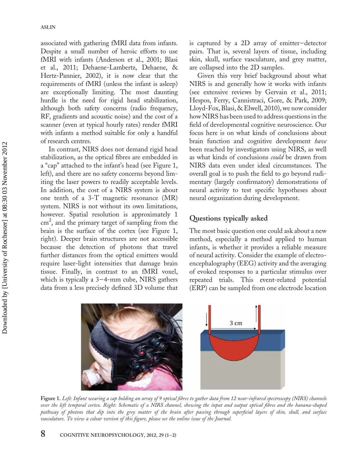associated with gathering fMRI data from infants. Despite a small number of heroic efforts to use fMRI with infants (Anderson et al., 2001; Blasi et al., 2011; Dehaene-Lambertz, Dehaene, & Hertz-Pannier, 2002), it is now clear that the requirements of fMRI (unless the infant is asleep) are exceptionally limiting. The most daunting hurdle is the need for rigid head stabilization, although both safety concerns (radio frequency, RF, gradients and acoustic noise) and the cost of a scanner (even at typical hourly rates) render fMRI with infants a method suitable for only a handful of research centres.

In contrast, NIRS does not demand rigid head stabilization, as the optical fibres are embedded in a "cap" attached to the infant's head (see Figure 1, left), and there are no safety concerns beyond limiting the laser powers to readily acceptable levels. In addition, the cost of a NIRS system is about one tenth of a 3-T magnetic resonance (MR) system. NIRS is not without its own limitations, however. Spatial resolution is approximately 1 cm<sup>2</sup>, and the primary target of sampling from the brain is the surface of the cortex (see Figure 1, right). Deeper brain structures are not accessible because the detection of photons that travel further distances from the optical emitters would require laser-light intensities that damage brain tissue. Finally, in contrast to an fMRI voxel, which is typically a  $3-4$ -mm cube, NIRS gathers data from a less precisely defined 3D volume that is captured by a 2D array of emitter –detector pairs. That is, several layers of tissue, including skin, skull, surface vasculature, and grey matter, are collapsed into the 2D samples.

Given this very brief background about what NIRS is and generally how it works with infants (see extensive reviews by Gervain et al., 2011; Hespos, Ferry, Cannistraci, Gore, & Park, 2009; Lloyd-Fox, Blasi, & Elwell, 2010), we now consider how NIRS has been used to address questions in the field of developmental cognitive neuroscience. Our focus here is on what kinds of conclusions about brain function and cognitive development have been reached by investigators using NIRS, as well as what kinds of conclusions could be drawn from NIRS data even under ideal circumstances. The overall goal is to push the field to go beyond rudimentary (largely confirmatory) demonstrations of neural activity to test specific hypotheses about neural organization during development.

### Questions typically asked

The most basic question one could ask about a new method, especially a method applied to human infants, is whether it provides a reliable measure of neural activity. Consider the example of electroencephalography (EEG) activity and the averaging of evoked responses to a particular stimulus over repeated trials. This event-related potential (ERP) can be sampled from one electrode location



Figure 1. Left: Infant wearing a cap holding an array of 9 optical fibres to gather data from 12 near-infrared spectroscopy (NIRS) channels over the left temporal cortex. Right: Schematic of a NIRS channel, showing the input and output optical fibres and the banana-shaped pathway of photons that dip into the grey matter of the brain after passing through superficial layers of skin, skull, and surface vasculature. To view a colour version of this figure, please see the online issue of the Journal.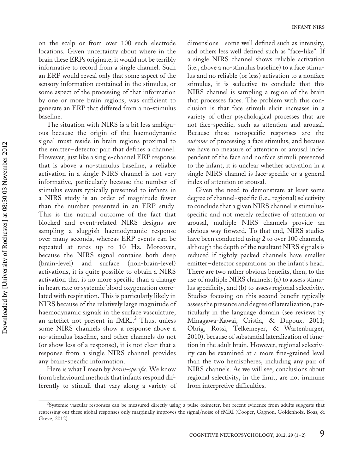on the scalp or from over 100 such electrode locations. Given uncertainty about where in the brain these ERPs originate, it would not be terribly informative to record from a single channel. Such an ERP would reveal only that some aspect of the sensory information contained in the stimulus, or some aspect of the processing of that information by one or more brain regions, was sufficient to generate an ERP that differed from a no-stimulus baseline.

The situation with NIRS is a bit less ambiguous because the origin of the haemodynamic signal must reside in brain regions proximal to the emitter – detector pair that defines a channel. However, just like a single-channel ERP response that is above a no-stimulus baseline, a reliable activation in a single NIRS channel is not very informative, particularly because the number of stimulus events typically presented to infants in a NIRS study is an order of magnitude fewer than the number presented in an ERP study. This is the natural outcome of the fact that blocked and event-related NIRS designs are sampling a sluggish haemodynamic response over many seconds, whereas ERP events can be repeated at rates up to 10 Hz. Moreover, because the NIRS signal contains both deep (brain-level) and surface (non-brain-level) activations, it is quite possible to obtain a NIRS activation that is no more specific than a change in heart rate or systemic blood oxygenation correlated with respiration. This is particularly likely in NIRS because of the relatively large magnitude of haemodynamic signals in the surface vasculature, an artefact not present in fMRI.<sup>2</sup> Thus, unless some NIRS channels show a response above a no-stimulus baseline, and other channels do not (or show less of a response), it is not clear that a response from a single NIRS channel provides any brain-specific information.

Here is what I mean by *brain-specific*. We know from behavioural methods that infants respond differently to stimuli that vary along a variety of

dimensions—some well defined such as intensity, and others less well defined such as "face-like". If a single NIRS channel shows reliable activation (i.e., above a no-stimulus baseline) to a face stimulus and no reliable (or less) activation to a nonface stimulus, it is seductive to conclude that this NIRS channel is sampling a region of the brain that processes faces. The problem with this conclusion is that face stimuli elicit increases in a variety of other psychological processes that are not face-specific, such as attention and arousal. Because these nonspecific responses are the *outcome* of processing a face stimulus, and because we have no measure of attention or arousal independent of the face and nonface stimuli presented to the infant, it is unclear whether activation in a single NIRS channel is face-specific or a general index of attention or arousal.

Given the need to demonstrate at least some degree of channel-specific (i.e., regional) selectivity to conclude that a given NIRS channel is stimulusspecific and not merely reflective of attention or arousal, multiple NIRS channels provide an obvious way forward. To that end, NIRS studies have been conducted using 2 to over 100 channels, although the depth of the resultant NIRS signals is reduced if tightly packed channels have smaller emitter –detector separations on the infant's head. There are two rather obvious benefits, then, to the use of multiple NIRS channels: (a) to assess stimulus specificity, and (b) to assess regional selectivity. Studies focusing on this second benefit typically assess the presence and degree of lateralization, particularly in the language domain (see reviews by Minagawa-Kawai, Cristia, & Dupoux, 2011; Obrig, Rossi, Telkemeyer, & Wartenburger, 2010), because of substantial lateralization of function in the adult brain. However, regional selectivity can be examined at a more fine-grained level than the two hemispheres, including any pair of NIRS channels. As we will see, conclusions about regional selectivity, in the limit, are not immune from interpretive difficulties.

<sup>&</sup>lt;sup>2</sup>Systemic vascular responses can be measured directly using a pulse oximeter, but recent evidence from adults suggests that regressing out these global responses only marginally improves the signal/noise of fMRI (Cooper, Gagnon, Goldenholz, Boas, & Greve, 2012).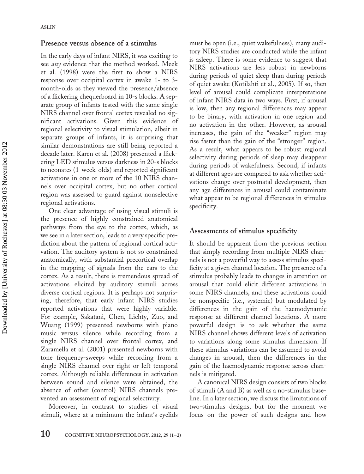#### Presence versus absence of a stimulus

In the early days of infant NIRS, it was exciting to see *any* evidence that the method worked. Meek et al. (1998) were the first to show a NIRS response over occipital cortex in awake 1- to 3 month-olds as they viewed the presence/absence of a flickering chequerboard in 10-s blocks. A separate group of infants tested with the same single NIRS channel over frontal cortex revealed no significant activations. Given this evidence of regional selectivity to visual stimulation, albeit in separate groups of infants, it is surprising that similar demonstrations are still being reported a decade later. Karen et al. (2008) presented a flickering LED stimulus versus darkness in 20-s blocks to neonates (1-week-olds) and reported significant activations in one or more of the 10 NIRS channels over occipital cortex, but no other cortical region was assessed to guard against nonselective regional activations.

One clear advantage of using visual stimuli is the presence of highly constrained anatomical pathways from the eye to the cortex, which, as we see in a later section, leads to a very specific prediction about the pattern of regional cortical activation. The auditory system is not so constrained anatomically, with substantial precortical overlap in the mapping of signals from the ears to the cortex. As a result, there is tremendous spread of activations elicited by auditory stimuli across diverse cortical regions. It is perhaps not surprising, therefore, that early infant NIRS studies reported activations that were highly variable. For example, Sakatani, Chen, Lichty, Zuo, and Wuang (1999) presented newborns with piano music versus silence while recording from a single NIRS channel over frontal cortex, and Zaramella et al. (2001) presented newborns with tone frequency-sweeps while recording from a single NIRS channel over right or left temporal cortex. Although reliable differences in activation between sound and silence were obtained, the absence of other (control) NIRS channels prevented an assessment of regional selectivity.

Moreover, in contrast to studies of visual stimuli, where at a minimum the infant's eyelids

must be open (i.e., quiet wakefulness), many auditory NIRS studies are conducted while the infant is asleep. There is some evidence to suggest that NIRS activations are less robust in newborns during periods of quiet sleep than during periods of quiet awake (Kotilahti et al., 2005). If so, then level of arousal could complicate interpretations of infant NIRS data in two ways. First, if arousal is low, then any regional differences may appear to be binary, with activation in one region and no activation in the other. However, as arousal increases, the gain of the "weaker" region may rise faster than the gain of the "stronger" region. As a result, what appears to be robust regional selectivity during periods of sleep may disappear during periods of wakefulness. Second, if infants at different ages are compared to ask whether activations change over postnatal development, then any age differences in arousal could contaminate what appear to be regional differences in stimulus specificity.

#### Assessments of stimulus specificity

It should be apparent from the previous section that simply recording from multiple NIRS channels is not a powerful way to assess stimulus specificity at a given channel location. The presence of a stimulus probably leads to changes in attention or arousal that could elicit different activations in some NIRS channels, and these activations could be nonspecific (i.e., systemic) but modulated by differences in the gain of the haemodynamic response at different channel locations. A more powerful design is to ask whether the same NIRS channel shows different levels of activation to variations along some stimulus dimension. If these stimulus variations can be assumed to avoid changes in arousal, then the differences in the gain of the haemodynamic response across channels is mitigated.

A canonical NIRS design consists of two blocks of stimuli (A and B) as well as a no-stimulus baseline. In a later section, we discuss the limitations of two-stimulus designs, but for the moment we focus on the power of such designs and how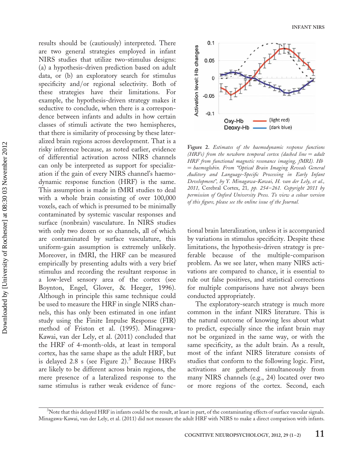INFANT NIRS

results should be (cautiously) interpreted. There are two general strategies employed in infant NIRS studies that utilize two-stimulus designs: (a) a hypothesis-driven prediction based on adult data, or (b) an exploratory search for stimulus specificity and/or regional selectivity. Both of these strategies have their limitations. For example, the hypothesis-driven strategy makes it seductive to conclude, when there is a correspondence between infants and adults in how certain classes of stimuli activate the two hemispheres, that there is similarity of processing by these lateralized brain regions across development. That is a risky inference because, as noted earlier, evidence of differential activation across NIRS channels can only be interpreted as support for specialization if the gain of every NIRS channel's haemodynamic response function (HRF) is the same. This assumption is made in fMRI studies to deal with a whole brain consisting of over 100,000 voxels, each of which is presumed to be minimally contaminated by systemic vascular responses and surface (nonbrain) vasculature. In NIRS studies with only two dozen or so channels, all of which are contaminated by surface vasculature, this uniform-gain assumption is extremely unlikely. Moreover, in fMRI, the HRF can be measured empirically by presenting adults with a very brief stimulus and recording the resultant response in a low-level sensory area of the cortex (see Boynton, Engel, Glover, & Heeger, 1996). Although in principle this same technique could be used to measure the HRF in single NIRS channels, this has only been estimated in one infant study using the Finite Impulse Response (FIR) method of Friston et al. (1995). Minagawa-Kawai, van der Lely, et al. (2011) concluded that the HRF of 4-month-olds, at least in temporal cortex, has the same shape as the adult HRF, but is delayed 2.8 s (see Figure 2).3 Because HRFs are likely to be different across brain regions, the mere presence of a lateralized response to the same stimulus is rather weak evidence of func-



Figure 2. Estimates of the haemodynamic response functions (HRFs) from the newborn temporal cortex (dashed line  $=$  adult HRF from functional magnetic resonance imaging, fMRI). Hb = haemoglobin. From "Optical Brain Imaging Reveals General Auditory and Language-Specific Processing in Early Infant Development", by Y. Minagawa-Kawai, H. van der Lely, et al., 2011, Cerebral Cortex, 21, pp. 254–261. Copyright 2011 by permission of Oxford University Press. To view a colour version of this figure, please see the online issue of the Journal.

tional brain lateralization, unless it is accompanied by variations in stimulus specificity. Despite these limitations, the hypothesis-driven strategy is preferable because of the multiple-comparison problem. As we see later, when many NIRS activations are compared to chance, it is essential to rule out false positives, and statistical corrections for multiple comparisons have not always been conducted appropriately.

The exploratory-search strategy is much more common in the infant NIRS literature. This is the natural outcome of knowing less about what to predict, especially since the infant brain may not be organized in the same way, or with the same specificity, as the adult brain. As a result, most of the infant NIRS literature consists of studies that conform to the following logic. First, activations are gathered simultaneously from many NIRS channels (e.g., 24) located over two or more regions of the cortex. Second, each

 $^3$ Note that this delayed HRF in infants could be the result, at least in part, of the contaminating effects of surface vascular signals. Minagawa-Kawai, van der Lely, et al. (2011) did not measure the adult HRF with NIRS to make a direct comparison with infants.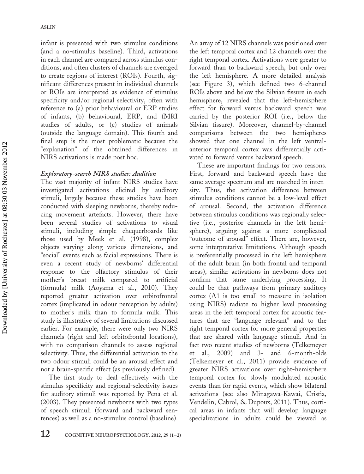infant is presented with two stimulus conditions (and a no-stimulus baseline). Third, activations in each channel are compared across stimulus conditions, and often clusters of channels are averaged to create regions of interest (ROIs). Fourth, significant differences present in individual channels or ROIs are interpreted as evidence of stimulus specificity and/or regional selectivity, often with reference to (a) prior behavioural or ERP studies of infants, (b) behavioural, ERP, and fMRI studies of adults, or (c) studies of animals (outside the language domain). This fourth and final step is the most problematic because the "explanation" of the obtained differences in NIRS activations is made post hoc.

### Exploratory-search NIRS studies: Audition

The vast majority of infant NIRS studies have investigated activations elicited by auditory stimuli, largely because these studies have been conducted with sleeping newborns, thereby reducing movement artefacts. However, there have been several studies of activations to visual stimuli, including simple chequerboards like those used by Meek et al. (1998), complex objects varying along various dimensions, and "social" events such as facial expressions. There is even a recent study of newborns' differential response to the olfactory stimulus of their mother's breast milk compared to artificial (formula) milk (Aoyama et al., 2010). They reported greater activation over orbitofrontal cortex (implicated in odour perception by adults) to mother's milk than to formula milk. This study is illustrative of several limitations discussed earlier. For example, there were only two NIRS channels (right and left orbitofrontal locations), with no comparison channels to assess regional selectivity. Thus, the differential activation to the two odour stimuli could be an arousal effect and not a brain-specific effect (as previously defined).

The first study to deal effectively with the stimulus specificity and regional-selectivity issues for auditory stimuli was reported by Pena et al. (2003). They presented newborns with two types of speech stimuli (forward and backward sentences) as well as a no-stimulus control (baseline).

12 COGNITIVE NEUROPSYCHOLOGY, 2012, 29 (1 –2)

An array of 12 NIRS channels was positioned over the left temporal cortex and 12 channels over the right temporal cortex. Activations were greater to forward than to backward speech, but only over the left hemisphere. A more detailed analysis (see Figure 3), which defined two 6-channel ROIs above and below the Silvian fissure in each hemisphere, revealed that the left-hemisphere effect for forward versus backward speech was carried by the posterior ROI (i.e., below the Silvian fissure). Moreover, channel-by-channel comparisons between the two hemispheres showed that one channel in the left ventralanterior temporal cortex was differentially activated to forward versus backward speech.

These are important findings for two reasons. First, forward and backward speech have the same average spectrum and are matched in intensity. Thus, the activation difference between stimulus conditions cannot be a low-level effect of arousal. Second, the activation difference between stimulus conditions was regionally selective (i.e., posterior channels in the left hemisphere), arguing against a more complicated "outcome of arousal" effect. There are, however, some interpretative limitations. Although speech is preferentially processed in the left hemisphere of the adult brain (in both frontal and temporal areas), similar activations in newborns does not confirm that same underlying processing. It could be that pathways from primary auditory cortex (A1 is too small to measure in isolation using NIRS) radiate to higher level processing areas in the left temporal cortex for acoustic features that are "language relevant" and to the right temporal cortex for more general properties that are shared with language stimuli. And in fact two recent studies of newborns (Telkemeyer et al., 2009) and 3- and 6-month-olds (Telkemeyer et al., 2011) provide evidence of greater NIRS activations over right-hemisphere temporal cortex for slowly modulated acoustic events than for rapid events, which show bilateral activations (see also Minagawa-Kawai, Cristia, Vendelin, Cabrol, & Dupoux, 2011). Thus, cortical areas in infants that will develop language specializations in adults could be viewed as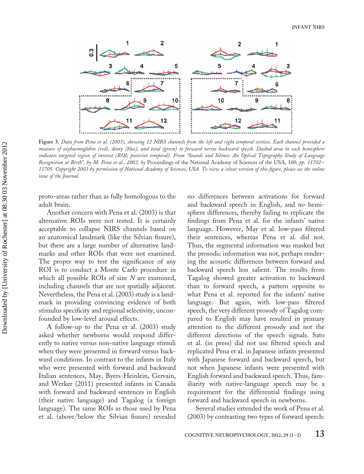

Figure 3. Data from Pena et al. (2003), showing 12 NIRS channels from the left and right temporal cortices. Each channel provided a measure of oxyhaemoglobin (red), deoxy (blue), and total (green) to forward versus backward speech. Dashed area in each hemisphere indicates targeted region of interest (ROI; posterior temporal). From "Sounds and Silence: An Optical Topography Study of Language Recognition at Birth", by M. Pena et al., 2003, by Proceedings of the National Academy of Sciences of the USA, 100, pp. 11702-11705. Copyright 2003 by permission of National Academy of Sciences, USA. To view a colour version of this figure, please see the online issue of the Journal.

proto-areas rather than as fully homologous to the adult brain.

Another concern with Pena et al. (2003) is that alternative ROIs were not tested. It is certainly acceptable to collapse NIRS channels based on an anatomical landmark (like the Silvian fissure), but there are a large number of alternative landmarks and other ROIs that were not examined. The proper way to test the significance of any ROI is to conduct a Monte Carlo procedure in which all possible ROIs of size  $N$  are examined, including channels that are not spatially adjacent. Nevertheless, the Pena et al. (2003) study is a landmark in providing convincing evidence of both stimulus specificity and regional selectivity, unconfounded by low-level arousal effects.

A follow-up to the Pena et al. (2003) study asked whether newborns would respond differently to native versus non-native language stimuli when they were presented in forward versus backward conditions. In contrast to the infants in Italy who were presented with forward and backward Italian sentences, May, Byers-Heinlein, Gervain, and Werker (2011) presented infants in Canada with forward and backward sentences in English (their native language) and Tagalog (a foreign language). The same ROIs as those used by Pena et al. (above/below the Silvian fissure) revealed

no differences between activations for forward and backward speech in English, and no hemisphere differences, thereby failing to replicate the findings from Pena et al. for the infants' native language. However, May et al. low-pass filtered their sentences, whereas Pena et al. did not. Thus, the segmental information was masked but the prosodic information was not, perhaps rendering the acoustic differences between forward and backward speech less salient. The results from Tagalog showed greater activation to backward than to forward speech, a pattern opposite to what Pena et al. reported for the infants' native language. But again, with low-pass filtered speech, the very different prosody of Tagalog compared to English may have resulted in primary attention to the different prosody and not the different directions of the speech signals. Sato et al. (in press) did not use filtered speech and replicated Pena et al. in Japanese infants presented with Japanese forward and backward speech, but not when Japanese infants were presented with English forward and backward speech. Thus, familiarity with native-language speech may be a requirement for the differential findings using forward and backward speech in newborns.

Several studies extended the work of Pena et al. (2003) by contrasting two types of forward speech: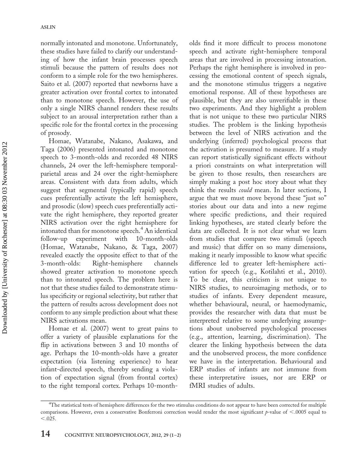normally intonated and monotone. Unfortunately, these studies have failed to clarify our understanding of how the infant brain processes speech stimuli because the pattern of results does not conform to a simple role for the two hemispheres. Saito et al. (2007) reported that newborns have a greater activation over frontal cortex to intonated than to monotone speech. However, the use of only a single NIRS channel renders these results subject to an arousal interpretation rather than a specific role for the frontal cortex in the processing of prosody.

Homae, Watanabe, Nakano, Asakawa, and Taga (2006) presented intonated and monotone speech to 3-month-olds and recorded 48 NIRS channels, 24 over the left-hemisphere temporalparietal areas and 24 over the right-hemisphere areas. Consistent with data from adults, which suggest that segmental (typically rapid) speech cues preferentially activate the left hemisphere, and prosodic (slow) speech cues preferentially activate the right hemisphere, they reported greater NIRS activation over the right hemisphere for intonated than for monotone speech.<sup>4</sup> An identical follow-up experiment with 10-month-olds (Homae, Watanabe, Nakano, & Taga, 2007) revealed exactly the opposite effect to that of the 3-month-olds: Right-hemisphere channels showed greater activation to monotone speech than to intonated speech. The problem here is not that these studies failed to demonstrate stimulus specificity or regional selectivity, but rather that the pattern of results across development does not conform to any simple prediction about what these NIRS activations mean.

Homae et al. (2007) went to great pains to offer a variety of plausible explanations for the flip in activations between 3 and 10 months of age. Perhaps the 10-month-olds have a greater expectation (via listening experience) to hear infant-directed speech, thereby sending a violation of expectation signal (from frontal cortex) to the right temporal cortex. Perhaps 10-montholds find it more difficult to process monotone speech and activate right-hemisphere temporal areas that are involved in processing intonation. Perhaps the right hemisphere is involved in processing the emotional content of speech signals, and the monotone stimulus triggers a negative emotional response. All of these hypotheses are plausible, but they are also unverifiable in these two experiments. And they highlight a problem that is not unique to these two particular NIRS studies. The problem is the linking hypothesis between the level of NIRS activation and the underlying (inferred) psychological process that the activation is presumed to measure. If a study can report statistically significant effects without a priori constraints on what interpretation will be given to those results, then researchers are simply making a post hoc story about what they think the results *could* mean. In later sections, I argue that we must move beyond these "just so" stories about our data and into a new regime where specific predictions, and their required linking hypotheses, are stated clearly before the data are collected. It is not clear what we learn from studies that compare two stimuli (speech and music) that differ on so many dimensions, making it nearly impossible to know what specific difference led to greater left-hemisphere activation for speech (e.g., Kotilahti et al., 2010). To be clear, this criticism is not unique to NIRS studies, to neuroimaging methods, or to studies of infants. Every dependent measure, whether behavioural, neural, or haemodynamic, provides the researcher with data that must be interpreted relative to some underlying assumptions about unobserved psychological processes (e.g., attention, learning, discrimination). The clearer the linking hypothesis between the data and the unobserved process, the more confidence we have in the interpretation. Behavioural and ERP studies of infants are not immune from these interpretative issues, nor are ERP or fMRI studies of adults.

<sup>4</sup> The statistical tests of hemisphere differences for the two stimulus conditions do not appear to have been corrected for multiple comparisons. However, even a conservative Bonferroni correction would render the most significant  $p$ -value of <.0005 equal to  $< 0.025$ .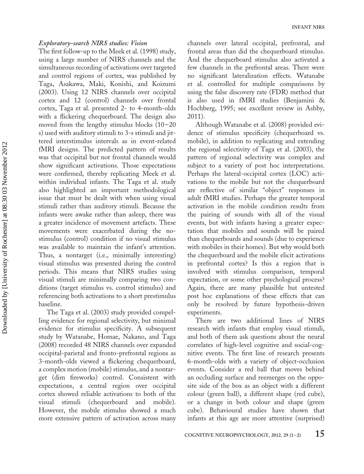#### Exploratory-search NIRS studies: Vision

The first follow-up to the Meek et al. (1998) study, using a large number of NIRS channels and the simultaneous recording of activations over targeted and control regions of cortex, was published by Taga, Asakawa, Maki, Konishi, and Koizumi (2003). Using 12 NIRS channels over occipital cortex and 12 (control) channels over frontal cortex, Taga et al. presented 2- to 4-month-olds with a flickering chequerboard. The design also moved from the lengthy stimulus blocks  $(10-20)$ s) used with auditory stimuli to 3-s stimuli and jittered interstimulus intervals as in event-related fMRI designs. The predicted pattern of results was that occipital but not frontal channels would show significant activations. Those expectations were confirmed, thereby replicating Meek et al. within individual infants. The Taga et al. study also highlighted an important methodological issue that must be dealt with when using visual stimuli rather than auditory stimuli. Because the infants were awake rather than asleep, there was a greater incidence of movement artefacts. These movements were exacerbated during the nostimulus (control) condition if no visual stimulus was available to maintain the infant's attention. Thus, a nontarget (i.e., minimally interesting) visual stimulus was presented during the control periods. This means that NIRS studies using visual stimuli are minimally comparing two conditions (target stimulus vs. control stimulus) and referencing both activations to a short prestimulus baseline.

The Taga et al. (2003) study provided compelling evidence for regional selectivity, but minimal evidence for stimulus specificity. A subsequent study by Watanabe, Homae, Nakano, and Taga (2008) recorded 48 NIRS channels over expanded occipital-parietal and fronto-prefrontal regions as 3-month-olds viewed a flickering chequerboard, a complex motion (mobile) stimulus, and a nontarget (dim fireworks) control. Consistent with expectations, a central region over occipital cortex showed reliable activations to both of the visual stimuli (chequerboard and mobile). However, the mobile stimulus showed a much more extensive pattern of activation across many

channels over lateral occipital, prefrontal, and frontal areas than did the chequerboard stimulus. And the chequerboard stimulus also activated a few channels in the prefrontal areas. There were no significant lateralization effects. Watanabe et al. controlled for multiple comparisons by using the false discovery rate (FDR) method that is also used in fMRI studies (Benjamini & Hochberg, 1995; see excellent review in Ashby, 2011).

Although Watanabe et al. (2008) provided evidence of stimulus specificity (chequerboard vs. mobile), in addition to replicating and extending the regional selectivity of Taga et al. (2003), the pattern of regional selectivity was complex and subject to a variety of post hoc interpretations. Perhaps the lateral-occipital cortex (LOC) activations to the mobile but not the chequerboard are reflective of similar "object" responses in adult fMRI studies. Perhaps the greater temporal activation in the mobile condition results from the pairing of sounds with all of the visual events, but with infants having a greater expectation that mobiles and sounds will be paired than chequerboards and sounds (due to experience with mobiles in their homes). But why would both the chequerboard and the mobile elicit activations in prefrontal cortex? Is this a region that is involved with stimulus comparison, temporal expectation, or some other psychological process? Again, there are many plausible but untested post hoc explanations of these effects that can only be resolved by future hypothesis-driven experiments.

There are two additional lines of NIRS research with infants that employ visual stimuli, and both of them ask questions about the neural correlates of high-level cognitive and social-cognitive events. The first line of research presents 6-month-olds with a variety of object-occlusion events. Consider a red ball that moves behind an occluding surface and reemerges on the opposite side of the box as an object with a different colour (green ball), a different shape (red cube), or a change in both colour and shape (green cube). Behavioural studies have shown that infants at this age are more attentive (surprised)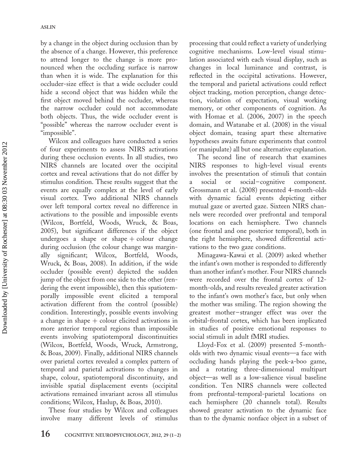by a change in the object during occlusion than by the absence of a change. However, this preference to attend longer to the change is more pronounced when the occluding surface is narrow than when it is wide. The explanation for this occluder-size effect is that a wide occluder could hide a second object that was hidden while the first object moved behind the occluder, whereas the narrow occluder could not accommodate both objects. Thus, the wide occluder event is "possible" whereas the narrow occluder event is "impossible".

Wilcox and colleagues have conducted a series of four experiments to assess NIRS activations during these occlusion events. In all studies, two NIRS channels are located over the occipital cortex and reveal activations that do not differ by stimulus condition. These results suggest that the events are equally complex at the level of early visual cortex. Two additional NIRS channels over left temporal cortex reveal no difference in activations to the possible and impossible events (Wilcox, Bortfeld, Woods, Wruck, & Boas, 2005), but significant differences if the object undergoes a shape or shape  $+$  colour change during occlusion (the colour change was marginally significant; Wilcox, Bortfeld, Woods, Wruck, & Boas, 2008). In addition, if the wide occluder (possible event) depicted the sudden jump of the object from one side to the other (rendering the event impossible), then this spatiotemporally impossible event elicited a temporal activation different from the control (possible) condition. Interestingly, possible events involving a change in shape + colour elicited activations in more anterior temporal regions than impossible events involving spatiotemporal discontinuities (Wilcox, Bortfeld, Woods, Wruck, Armstrong, & Boas, 2009). Finally, additional NIRS channels over parietal cortex revealed a complex pattern of temporal and parietal activations to changes in shape, colour, spatiotemporal discontinuity, and invisible spatial displacement events (occipital activations remained invariant across all stimulus conditions; Wilcox, Haslup, & Boas, 2010).

These four studies by Wilcox and colleagues involve many different levels of stimulus

processing that could reflect a variety of underlying cognitive mechanisms. Low-level visual stimulation associated with each visual display, such as changes in local luminance and contrast, is reflected in the occipital activations. However, the temporal and parietal activations could reflect object tracking, motion perception, change detection, violation of expectation, visual working memory, or other components of cognition. As with Homae et al. (2006, 2007) in the speech domain, and Watanabe et al. (2008) in the visual object domain, teasing apart these alternative hypotheses awaits future experiments that control (or manipulate) all but one alternative explanation.

The second line of research that examines NIRS responses to high-level visual events involves the presentation of stimuli that contain a social or social –cognitive component. Grossmann et al. (2008) presented 4-month-olds with dynamic facial events depicting either mutual gaze or averted gaze. Sixteen NIRS channels were recorded over prefrontal and temporal locations on each hemisphere. Two channels (one frontal and one posterior temporal), both in the right hemisphere, showed differential activations to the two gaze conditions.

Minagawa-Kawai et al. (2009) asked whether the infant's own mother is responded to differently than another infant's mother. Four NIRS channels were recorded over the frontal cortex of 12 month-olds, and results revealed greater activation to the infant's own mother's face, but only when the mother was smiling. The region showing the greatest mother – stranger effect was over the orbital-frontal cortex, which has been implicated in studies of positive emotional responses to social stimuli in adult fMRI studies.

Lloyd-Fox et al. (2009) presented 5-montholds with two dynamic visual events—a face with occluding hands playing the peek-a-boo game, and a rotating three-dimensional multipart object—as well as a low-salience visual baseline condition. Ten NIRS channels were collected from prefrontal-temporal-parietal locations on each hemisphere (20 channels total). Results showed greater activation to the dynamic face than to the dynamic nonface object in a subset of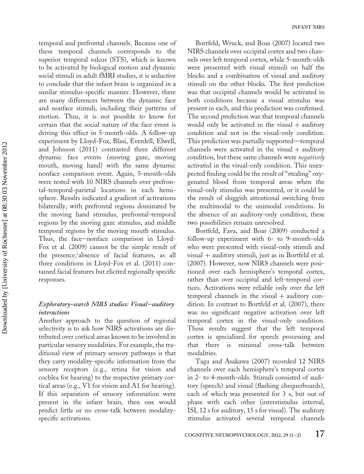temporal and prefrontal channels. Because one of these temporal channels corresponds to the superior temporal sulcus (STS), which is known to be activated by biological motion and dynamic social stimuli in adult fMRI studies, it is seductive to conclude that the infant brain is organized in a similar stimulus-specific manner. However, there are many differences between the dynamic face and nonface stimuli, including their patterns of motion. Thus, it is not possible to know for certain that the social nature of the face event is driving this effect in 5-month-olds. A follow-up experiment by Lloyd-Fox, Blasi, Everdell, Elwell, and Johnson (2011) contrasted three different dynamic face events (moving gaze, moving mouth, moving hand) with the same dynamic nonface comparison event. Again, 5-month-olds were tested with 10 NIRS channels over prefrontal-temporal-parietal locations in each hemisphere. Results indicated a gradient of activations bilaterally, with prefrontal regions dominated by the moving hand stimulus, prefrontal-temporal regions by the moving gaze stimulus, and middle temporal regions by the moving mouth stimulus. Thus, the face –nonface comparison in Lloyd-Fox et al. (2009) cannot be the simple result of the presence/absence of facial features, as all three conditions in Lloyd-Fox et al. (2011) contained facial features but elicited regionally specific responses.

#### Exploratory-search NIRS studies: Visual –auditory interactions

Another approach to the question of regional selectivity is to ask how NIRS activations are distributed over cortical areas known to be involved in particular sensory modalities. For example, the traditional view of primary sensory pathways is that they carry modality-specific information from the sensory receptors (e.g., retina for vision and cochlea for hearing) to the respective primary cortical areas (e.g., V1 for vision and A1 for hearing). If this separation of sensory information were present in the infant brain, then one would predict little or no cross-talk between modalityspecific activations.

Bortfeld, Wruck, and Boas (2007) located two NIRS channels over occipital cortex and two channels over left temporal cortex, while 5-month-olds were presented with visual stimuli on half the blocks and a combination of visual and auditory stimuli on the other blocks. The first prediction was that occipital channels would be activated in both conditions because a visual stimulus was present in each, and this prediction was confirmed. The second prediction was that temporal channels would only be activated in the visual  $+$  auditory condition and not in the visual-only condition. This prediction was partially supported—temporal channels were activated in the visual  $+$  auditory condition, but these same channels were *negatively* activated in the visual-only condition. This unexpected finding could be the result of "stealing" oxygenated blood from temporal areas when the visual-only stimulus was presented, or it could be the result of sluggish attentional switching from the multimodal to the unimodal conditions. In the absence of an auditory-only condition, these two possibilities remain unresolved.

Bortfeld, Fava, and Boas (2009) conducted a follow-up experiment with 6- to 9-month-olds who were presented with visual-only stimuli and visual + auditory stimuli, just as in Bortfeld et al. (2007). However, now NIRS channels were positioned over each hemisphere's temporal cortex, rather than over occipital and left-temporal cortices. Activations were reliable only over the left temporal channels in the visual + auditory condition. In contrast to Bortfeld et al. (2007), there was no significant negative activation over left temporal cortex in the visual-only condition. These results suggest that the left temporal cortex is specialized for speech processing and that there is minimal cross-talk between modalities.

Taga and Asakawa (2007) recorded 12 NIRS channels over each hemisphere's temporal cortex in 2- to 4-month-olds. Stimuli consisted of auditory (speech) and visual (flashing chequerboards), each of which was presented for 3 s, but out of phase with each other (interstimulus interval, ISI, 12 s for auditory, 15 s for visual). The auditory stimulus activated several temporal channels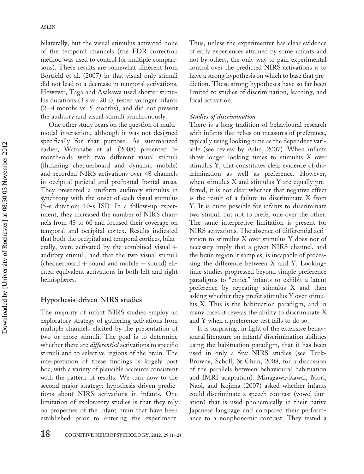bilaterally, but the visual stimulus activated none of the temporal channels (the FDR correction method was used to control for multiple comparisons). These results are somewhat different from Bortfeld et al. (2007) in that visual-only stimuli did not lead to a decrease in temporal activations. However, Taga and Asakawa used shorter stimulus durations (3 s vs. 20 s), tested younger infants  $(2-4$  months vs. 5 months), and did not present the auditory and visual stimuli synchronously.

One other study bears on the question of multimodal interaction, although it was not designed specifically for that purpose. As summarized earlier, Watanabe et al. (2008) presented 3 month-olds with two different visual stimuli (flickering chequerboard and dynamic mobile) and recorded NIRS activations over 48 channels in occipital-parietal and prefrontal-frontal areas. They presented a uniform auditory stimulus in synchrony with the onset of each visual stimulus (5-s duration; 10-s ISI). In a follow-up experiment, they increased the number of NIRS channels from 48 to 60 and focused their coverage on temporal and occipital cortex. Results indicated that both the occipital and temporal cortices, bilaterally, were activated by the combined visual + auditory stimuli, and that the two visual stimuli  $(chequerboard + sound and mobile + sound)$ elicited equivalent activations in both left and right hemispheres.

#### Hypothesis-driven NIRS studies

The majority of infant NIRS studies employ an exploratory strategy of gathering activations from multiple channels elicited by the presentation of two or more stimuli. The goal is to determine whether there are *differential* activations to specific stimuli and to selective regions of the brain. The interpretation of these findings is largely post hoc, with a variety of plausible accounts consistent with the pattern of results. We turn now to the second major strategy: hypothesis-driven predictions about NIRS activations in infants. One limitation of exploratory studies is that they rely on properties of the infant brain that have been established prior to entering the experiment.

Thus, unless the experimenter has clear evidence of early experiences attained by some infants and not by others, the only way to gain experimental control over the predicted NIRS activations is to have a strong hypothesis on which to base that prediction. These strong hypotheses have so far been limited to studies of discrimination, learning, and focal activation.

#### Studies of discrimination

There is a long tradition of behavioural research with infants that relies on measures of preference, typically using looking time as the dependent variable (see review by Aslin, 2007). When infants show longer looking times to stimulus X over stimulus Y, that constitutes clear evidence of discrimination as well as preference. However, when stimulus X and stimulus Y are equally preferred, it is not clear whether that negative effect is the result of a failure to discriminate X from Y. It is quite possible for infants to discriminate two stimuli but not to prefer one over the other. The same interpretive limitation is present for NIRS activations. The absence of differential activation to stimulus X over stimulus Y does not of necessity imply that a given NIRS channel, and the brain region it samples, is incapable of processing the difference between X and Y. Lookingtime studies progressed beyond simple preference paradigms to "entice" infants to exhibit a latent preference by repeating stimulus X and then asking whether they prefer stimulus Y over stimulus X. This is the habituation paradigm, and in many cases it reveals the ability to discriminate X and Y when a preference test fails to do so.

It is surprising, in light of the extensive behavioural literature on infants' discrimination abilities using the habituation paradigm, that it has been used in only a few NIRS studies (see Turk-Browne, Scholl, & Chun, 2008, for a discussion of the parallels between behavioural habituation and fMRI adaptation). Minagawa-Kawai, Mori, Naoi, and Kojima (2007) asked whether infants could discriminate a speech contrast (vowel duration) that is used phonemically in their native Japanese language and compared their performance to a nonphonemic contrast. They tested a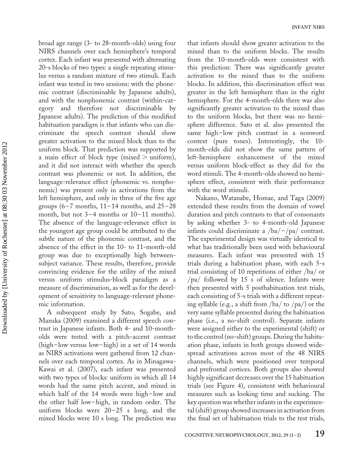broad age range (3- to 28-month-olds) using four NIRS channels over each hemisphere's temporal cortex. Each infant was presented with alternating 20-s blocks of two types: a single repeating stimulus versus a random mixture of two stimuli. Each infant was tested in two sessions: with the phonemic contrast (discriminable by Japanese adults), and with the nonphonemic contrast (within-category and therefore not discriminable by Japanese adults). The prediction of this modified habituation paradigm is that infants who can discriminate the speech contrast should show greater activation to the mixed block than to the uniform block. That prediction was supported by a main effect of block type (mixed  $>$  uniform), and it did not interact with whether the speech contrast was phonemic or not. In addition, the language-relevance effect (phonemic vs. nonphonemic) was present only in activations from the left hemisphere, and only in three of the five age groups  $(6 - 7$  months,  $11 - 14$  months, and  $25 - 28$ month, but not  $3-4$  months or  $10-11$  months). The absence of the language-relevance effect in the youngest age group could be attributed to the subtle nature of the phonemic contrast, and the absence of the effect in the 10- to 11-month-old group was due to exceptionally high betweensubject variance. These results, therefore, provide convincing evidence for the utility of the mixed versus uniform stimulus-block paradigm as a measure of discrimination, as well as for the development of sensitivity to language-relevant phonemic information.

A subsequent study by Sato, Sogabe, and Mazuka (2009) examined a different speech contrast in Japanese infants. Both 4- and 10-montholds were tested with a pitch-accent contrast (high –low versus low –high) in a set of 14 words as NIRS activations were gathered from 12 channels over each temporal cortex. As in Minagawa-Kawai et al. (2007), each infant was presented with two types of blocks: uniform in which all 14 words had the same pitch accent, and mixed in which half of the 14 words were high-low and the other half low –high, in random order. The uniform blocks were  $20-25$  s long, and the mixed blocks were 10 s long. The prediction was

that infants should show greater activation to the mixed than to the uniform blocks. The results from the 10-month-olds were consistent with this prediction: There was significantly greater activation to the mixed than to the uniform blocks. In addition, this discrimination effect was greater in the left hemisphere than in the right hemisphere. For the 4-month-olds there was also significantly greater activation to the mixed than to the uniform blocks, but there was no hemisphere difference. Sato et al. also presented the same high-low pitch contrast in a nonword context (pure tones). Interestingly, the 10 month-olds did not show the same pattern of left-hemisphere enhancement of the mixed versus uniform block-effect as they did for the word stimuli. The 4-month-olds showed no hemisphere effect, consistent with their performance with the word stimuli.

Nakano, Watanabe, Homae, and Taga (2009) extended these results from the domain of vowel duration and pitch contrasts to that of consonants by asking whether 3- to 4-month-old Japanese infants could discriminate a  $/ba/-/pa/$  contrast. The experimental design was virtually identical to what has traditionally been used with behavioural measures. Each infant was presented with 15 trials during a habituation phase, with each 5-s trial consisting of 10 repetitions of either /ba/ or /pa/ followed by 15 s of silence. Infants were then presented with 5 posthabituation test trials, each consisting of 5-s trials with a different repeating syllable (e.g., a shift from  $/ba/$  to  $/pa/$ ) or the very same syllable presented during the habituation phase (i.e., a no-shift control). Separate infants were assigned either to the experimental (shift) or to the control (no-shift) groups. During the habituation phase, infants in both groups showed widespread activations across most of the 48 NIRS channels, which were positioned over temporal and prefrontal cortices. Both groups also showed highly significant decreases over the 15 habituation trials (see Figure 4), consistent with behavioural measures such as looking time and sucking. The key question was whether infants in the experimental (shift) group showed increases in activation from the final set of habituation trials to the test trials,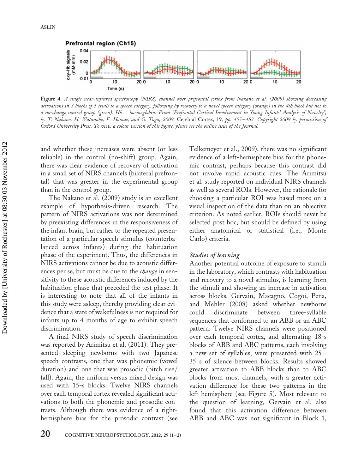

Figure 4. A single near-infrared spectroscopy (NIRS) channel over prefrontal cortex from Nakano et al. (2009) showing decreasing activations in 3 blocks of 5 trials to a speech category, following by recovery to a novel speech category (orange) in the 4th block but not to a no-change control group (green). Hb = haemoglobin. From "Prefrontal Cortical Involvement in Young Infants' Analysis of Novelty", by T. Nakano, H. Watanabe, F. Homae, and G. Taga, 2009, Cerebral Cortex, 19, pp. 455–463. Copyright 2009 by permission of Oxford University Press. To view a colour version of this figure, please see the online issue of the Journal.

and whether these increases were absent (or less reliable) in the control (no-shift) group. Again, there was clear evidence of recovery of activation in a small set of NIRS channels (bilateral prefrontal) that was greater in the experimental group than in the control group.

The Nakano et al. (2009) study is an excellent example of hypothesis-driven research. The pattern of NIRS activations was not determined by preexisting differences in the responsiveness of the infant brain, but rather to the repeated presentation of a particular speech stimulus (counterbalanced across infants) during the habituation phase of the experiment. Thus, the differences in NIRS activations cannot be due to acoustic differences per se, but must be due to the *change* in sensitivity to these acoustic differences induced by the habituation phase that preceded the test phase. It is interesting to note that all of the infants in this study were asleep, thereby providing clear evidence that a state of wakefulness is not required for infants up to 4 months of age to exhibit speech discrimination.

A final NIRS study of speech discrimination was reported by Arimitsu et al. (2011). They presented sleeping newborns with two Japanese speech contrasts, one that was phonemic (vowel duration) and one that was prosodic (pitch rise/ fall). Again, the uniform versus mixed design was used with 15-s blocks. Twelve NIRS channels over each temporal cortex revealed significant activations to both the phonemic and prosodic contrasts. Although there was evidence of a righthemisphere bias for the prosodic contrast (see Telkemeyer et al., 2009), there was no significant evidence of a left-hemisphere bias for the phonemic contrast, perhaps because this contrast did not involve rapid acoustic cues. The Arimitsu et al. study reported on individual NIRS channels as well as several ROIs. However, the rationale for choosing a particular ROI was based more on a visual inspection of the data than on an objective criterion. As noted earlier, ROIs should never be selected post hoc, but should be defined by using either anatomical or statistical (i.e., Monte Carlo) criteria.

#### Studies of learning

Another potential outcome of exposure to stimuli in the laboratory, which contrasts with habituation and recovery to a novel stimulus, is learning from the stimuli and showing an increase in activation across blocks. Gervain, Macagno, Cogoi, Pena, and Mehler (2008) asked whether newborns could discriminate between three-syllable sequences that conformed to an ABB or an ABC pattern. Twelve NIRS channels were positioned over each temporal cortex, and alternating 18-s blocks of ABB and ABC patterns, each involving a new set of syllables, were presented with 25 – 35 s of silence between blocks. Results showed greater activation to ABB blocks than to ABC blocks from most channels, with a greater activation difference for these two patterns in the left hemisphere (see Figure 5). Most relevant to the question of learning, Gervain et al. also found that this activation difference between ABB and ABC was not significant in Block 1,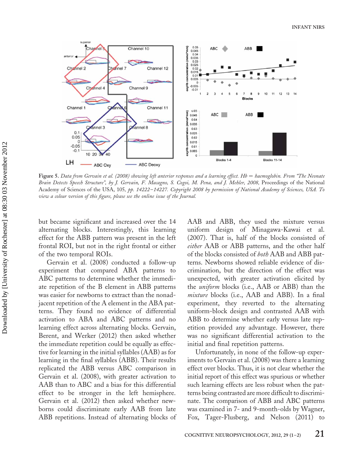

Figure 5. Data from Gervain et al. (2008) showing left anterior responses and a learning effect. Hb = haemoglobin. From "The Neonate Brain Detects Speech Structure", by J. Gervain, F. Macagno, S. Cogoi, M. Pena, and J. Mehler, 2008, Proceedings of the National Academy of Sciences of the USA, 105, pp. 14222–14227. Copyright 2008 by permission of National Academy of Sciences, USA. To view a colour version of this figure, please see the online issue of the Journal.

but became significant and increased over the 14 alternating blocks. Interestingly, this learning effect for the ABB pattern was present in the left frontal ROI, but not in the right frontal or either of the two temporal ROIs.

Gervain et al. (2008) conducted a follow-up experiment that compared ABA patterns to ABC patterns to determine whether the immediate repetition of the B element in ABB patterns was easier for newborns to extract than the nonadjacent repetition of the A element in the ABA patterns. They found no evidence of differential activation to ABA and ABC patterns and no learning effect across alternating blocks. Gervain, Berent, and Werker (2012) then asked whether the immediate repetition could be equally as effective for learning in the initial syllables (AAB) as for learning in the final syllables (ABB). Their results replicated the ABB versus ABC comparison in Gervain et al. (2008), with greater activation to AAB than to ABC and a bias for this differential effect to be stronger in the left hemisphere. Gervain et al. (2012) then asked whether newborns could discriminate early AAB from late ABB repetitions. Instead of alternating blocks of AAB and ABB, they used the mixture versus uniform design of Minagawa-Kawai et al. (2007). That is, half of the blocks consisted of either AAB or ABB patterns, and the other half of the blocks consisted of both AAB and ABB patterns. Newborns showed reliable evidence of discrimination, but the direction of the effect was unexpected, with greater activation elicited by the uniform blocks (i.e., AAB or ABB) than the mixture blocks (i.e., AAB and ABB). In a final experiment, they reverted to the alternating uniform-block design and contrasted AAB with ABB to determine whether early versus late repetition provided any advantage. However, there was no significant differential activation to the initial and final repetition patterns.

Unfortunately, in none of the follow-up experiments to Gervain et al. (2008) was there a learning effect over blocks. Thus, it is not clear whether the initial report of this effect was spurious or whether such learning effects are less robust when the patterns being contrasted are more difficult to discriminate. The comparison of ABB and ABC patterns was examined in 7- and 9-month-olds by Wagner, Fox, Tager-Flusberg, and Nelson (2011) to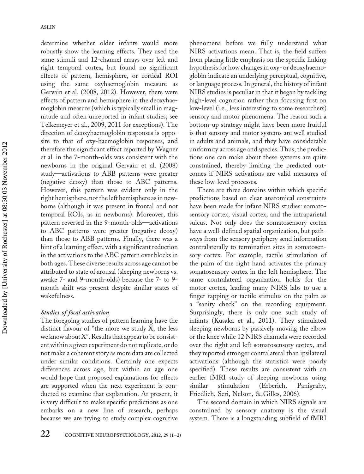determine whether older infants would more robustly show the learning effects. They used the same stimuli and 12-channel arrays over left and right temporal cortex, but found no significant effects of pattern, hemisphere, or cortical ROI using the same oxyhaemoglobin measure as Gervain et al. (2008, 2012). However, there were effects of pattern and hemisphere in the deoxyhaemoglobin measure (which is typically small in magnitude and often unreported in infant studies; see Telkemeyer et al., 2009, 2011 for exceptions). The direction of deoxyhaemoglobin responses is opposite to that of oxy-haemoglobin responses, and therefore the significant effect reported by Wagner et al. in the 7-month-olds was consistent with the newborns in the original Gervain et al. (2008) study—activations to ABB patterns were greater (negative deoxy) than those to ABC patterns. However, this pattern was evident only in the right hemisphere, not the left hemisphere as in newborns (although it was present in frontal and not temporal ROIs, as in newborns). Moreover, this pattern reversed in the 9-month-olds—activations to ABC patterns were greater (negative deoxy) than those to ABB patterns. Finally, there was a hint of a learning effect, with a significant reduction in the activations to the ABC pattern over blocks in both ages. These diverse results across age cannot be attributed to state of arousal (sleeping newborns vs. awake 7- and 9-month-olds) because the 7- to 9 month shift was present despite similar states of wakefulness.

#### Studies of focal activation

The foregoing studies of pattern learning have the distinct flavour of "the more we study X, the less we know about X". Results that appear to be consistent within a given experiment do not replicate, or do not make a coherent story as more data are collected under similar conditions. Certainly one expects differences across age, but within an age one would hope that proposed explanations for effects are supported when the next experiment is conducted to examine that explanation. At present, it is very difficult to make specific predictions as one embarks on a new line of research, perhaps because we are trying to study complex cognitive phenomena before we fully understand what NIRS activations mean. That is, the field suffers from placing little emphasis on the specific linking hypothesis for how changes in oxy- or deoxyhaemoglobin indicate an underlying perceptual, cognitive, or language process. In general, the history of infant NIRS studies is peculiar in that it began by tackling high-level cognition rather than focusing first on low-level (i.e., less interesting to some researchers) sensory and motor phenomena. The reason such a bottom-up strategy might have been more fruitful is that sensory and motor systems are well studied in adults and animals, and they have considerable uniformity across age and species. Thus, the predictions one can make about these systems are quite constrained, thereby limiting the predicted outcomes if NIRS activations are valid measures of these low-level processes.

There are three domains within which specific predictions based on clear anatomical constraints have been made for infant NIRS studies: somatosensory cortex, visual cortex, and the intraparietal sulcus. Not only does the somatosensory cortex have a well-defined spatial organization, but pathways from the sensory periphery send information contralaterally to termination sites in somatosensory cortex. For example, tactile stimulation of the palm of the right hand activates the primary somatosensory cortex in the left hemisphere. The same contralateral organization holds for the motor cortex, leading many NIRS labs to use a finger tapping or tactile stimulus on the palm as a "sanity check" on the recording equipment. Surprisingly, there is only one such study of infants (Kusaka et al., 2011). They stimulated sleeping newborns by passively moving the elbow or the knee while 12 NIRS channels were recorded over the right and left somatosensory cortex, and they reported stronger contralateral than ipsilateral activations (although the statistics were poorly specified). These results are consistent with an earlier fMRI study of sleeping newborns using similar stimulation (Erberich, Panigrahy, Friedlich, Seri, Nelson, & Gilles, 2006).

The second domain in which NIRS signals are constrained by sensory anatomy is the visual system. There is a longstanding subfield of fMRI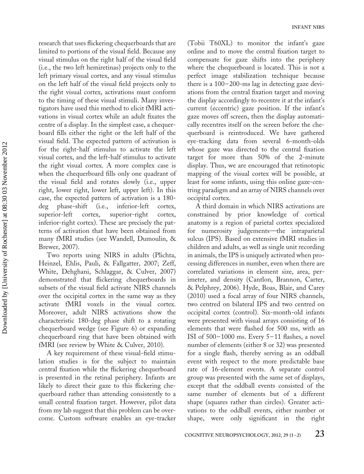research that uses flickering chequerboards that are limited to portions of the visual field. Because any visual stimulus on the right half of the visual field (i.e., the two left hemiretinas) projects only to the left primary visual cortex, and any visual stimulus on the left half of the visual field projects only to the right visual cortex, activations must conform to the timing of these visual stimuli. Many investigators have used this method to elicit fMRI activations in visual cortex while an adult fixates the centre of a display. In the simplest case, a chequerboard fills either the right or the left half of the visual field. The expected pattern of activation is for the right-half stimulus to activate the left visual cortex, and the left-half stimulus to activate the right visual cortex. A more complex case is when the chequerboard fills only one quadrant of the visual field and rotates slowly (i.e., upper right, lower right, lower left, upper left). In this case, the expected pattern of activation is a 180 deg phase-shift (i.e., inferior-left cortex, superior-left cortex, superior-right cortex, inferior-right cortex). These are precisely the patterns of activation that have been obtained from many fMRI studies (see Wandell, Dumoulin, & Brewer, 2007).

Two reports using NIRS in adults (Plichta, Heinzel, Ehlis, Pauli, & Fallgatter, 2007; Zeff, White, Dehghani, Schlaggar, & Culver, 2007) demonstrated that flickering chequerboards in subsets of the visual field activate NIRS channels over the occipital cortex in the same way as they activate fMRI voxels in the visual cortex. Moreover, adult NIRS activations show the characteristic 180-deg phase shift to a rotating chequerboard wedge (see Figure 6) or expanding chequerboard ring that have been obtained with fMRI (see review by White & Culver, 2010).

A key requirement of these visual-field stimulation studies is for the subject to maintain central fixation while the flickering chequerboard is presented in the retinal periphery. Infants are likely to direct their gaze to this flickering chequerboard rather than attending consistently to a small central fixation target. However, pilot data from my lab suggest that this problem can be overcome. Custom software enables an eye-tracker

(Tobii T60XL) to monitor the infant's gaze online and to move the central fixation target to compensate for gaze shifts into the periphery where the chequerboard is located. This is not a perfect image stabilization technique because there is a  $100-200$ -ms lag in detecting gaze deviations from the central fixation target and moving the display accordingly to recentre it at the infant's current (eccentric) gaze position. If the infant's gaze moves off screen, then the display automatically recentres itself on the screen before the chequerboard is reintroduced. We have gathered eye-tracking data from several 6-month-olds whose gaze was directed to the central fixation target for more than 50% of the 2-minute display. Thus, we are encouraged that retinotopic mapping of the visual cortex will be possible, at least for some infants, using this online gaze-centring paradigm and an array of NIRS channels over occipital cortex.

A third domain in which NIRS activations are constrained by prior knowledge of cortical anatomy is a region of parietal cortex specialized for numerosity judgements—the intraparietal sulcus (IPS). Based on extensive fMRI studies in children and adults, as well as single unit recording in animals, the IPS is uniquely activated when processing differences in number, even when there are correlated variations in element size, area, perimeter, and density (Cantlon, Brannon, Carter, & Pelphrey, 2006). Hyde, Boas, Blair, and Carey (2010) used a focal array of four NIRS channels, two centred on bilateral IPS and two centred on occipital cortex (control). Six-month-old infants were presented with visual arrays consisting of 16 elements that were flashed for 500 ms, with an ISI of  $500-1000$  ms. Every  $5-11$  flashes, a novel number of elements (either 8 or 32) was presented for a single flash, thereby serving as an oddball event with respect to the more predictable base rate of 16-element events. A separate control group was presented with the same set of displays, except that the oddball events consisted of the same number of elements but of a different shape (squares rather than circles). Greater activations to the oddball events, either number or shape, were only significant in the right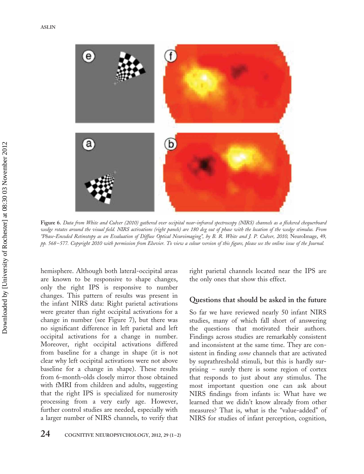

Figure 6. Data from White and Culver (2010) gathered over occipital near-infrared spectroscopy (NIRS) channels as a flickered chequerboard wedge rotates around the visual field. NIRS activations (right panels) are 180 deg out of phase with the location of the wedge stimulus. From "Phase-Encoded Retinotopy as an Evaluation of Diffuse Optical Neuroimaging", by B. R. White and J. P. Culver, 2010, NeuroImage, 49, pp. 568–577. Copyright 2010 with permission from Elsevier. To view a colour version of this figure, please see the online issue of the Journal.

hemisphere. Although both lateral-occipital areas are known to be responsive to shape changes, only the right IPS is responsive to number changes. This pattern of results was present in the infant NIRS data: Right parietal activations were greater than right occipital activations for a change in number (see Figure 7), but there was no significant difference in left parietal and left occipital activations for a change in number. Moreover, right occipital activations differed from baseline for a change in shape (it is not clear why left occipital activations were not above baseline for a change in shape). These results from 6-month-olds closely mirror those obtained with fMRI from children and adults, suggesting that the right IPS is specialized for numerosity processing from a very early age. However, further control studies are needed, especially with a larger number of NIRS channels, to verify that right parietal channels located near the IPS are the only ones that show this effect.

#### Questions that should be asked in the future

So far we have reviewed nearly 50 infant NIRS studies, many of which fall short of answering the questions that motivated their authors. Findings across studies are remarkably consistent and inconsistent at the same time. They are consistent in finding *some* channels that are activated by suprathreshold stimuli, but this is hardly surprising – surely there is some region of cortex that responds to just about any stimulus. The most important question one can ask about NIRS findings from infants is: What have we learned that we didn't know already from other measures? That is, what is the "value-added" of NIRS for studies of infant perception, cognition,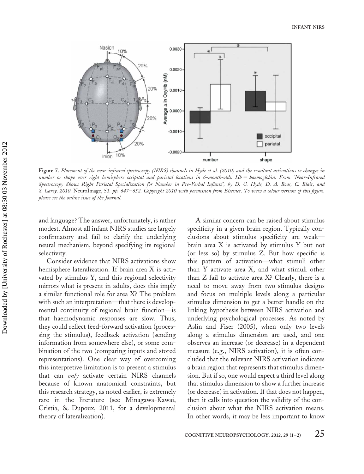

Figure 7. Placement of the near-infrared spectroscopy (NIRS) channels in Hyde et al. (2010) and the resultant activations to changes in number or shape over right hemisphere occipital and parietal locations in 6-month-olds. Hb = haemoglobin. From "Near-Infrared Spectroscopy Shows Right Parietal Specialization for Number in Pre-Verbal Infants", by D. C. Hyde, D. A. Boas, C. Blair, and S. Carey, 2010, NeuroImage, 53, pp. 647– 652. Copyright 2010 with permission from Elsevier. To view a colour version of this figure, please see the online issue of the Journal.

and language? The answer, unfortunately, is rather modest. Almost all infant NIRS studies are largely confirmatory and fail to clarify the underlying neural mechanism, beyond specifying its regional selectivity.

Consider evidence that NIRS activations show hemisphere lateralization. If brain area X is activated by stimulus Y, and this regional selectivity mirrors what is present in adults, does this imply a similar functional role for area X? The problem with such an interpretation—that there is developmental continuity of regional brain function—is that haemodynamic responses are slow. Thus, they could reflect feed-forward activation (processing the stimulus), feedback activation (sending information from somewhere else), or some combination of the two (comparing inputs and stored representations). One clear way of overcoming this interpretive limitation is to present a stimulus that can only activate certain NIRS channels because of known anatomical constraints, but this research strategy, as noted earlier, is extremely rare in the literature (see Minagawa-Kawai, Cristia, & Dupoux, 2011, for a developmental theory of lateralization).

A similar concern can be raised about stimulus specificity in a given brain region. Typically conclusions about stimulus specificity are weak brain area X is activated by stimulus Y but not (or less so) by stimulus Z. But how specific is this pattern of activation—what stimuli other than Y activate area X, and what stimuli other than Z fail to activate area X? Clearly, there is a need to move away from two-stimulus designs and focus on multiple levels along a particular stimulus dimension to get a better handle on the linking hypothesis between NIRS activation and underlying psychological processes. As noted by Aslin and Fiser (2005), when only two levels along a stimulus dimension are used, and one observes an increase (or decrease) in a dependent measure (e.g., NIRS activation), it is often concluded that the relevant NIRS activation indicates a brain region that represents that stimulus dimension. But if so, one would expect a third level along that stimulus dimension to show a further increase (or decrease) in activation. If that does not happen, then it calls into question the validity of the conclusion about what the NIRS activation means. In other words, it may be less important to know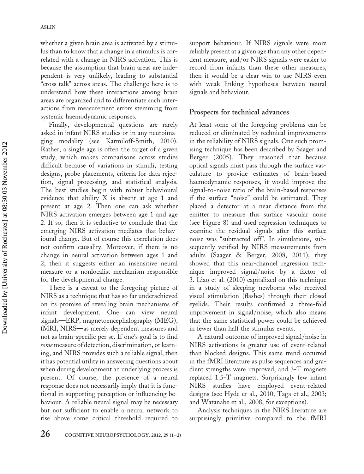whether a given brain area is activated by a stimulus than to know that a change in a stimulus is correlated with a change in NIRS activation. This is because the assumption that brain areas are independent is very unlikely, leading to substantial "cross talk" across areas. The challenge here is to understand how these interactions among brain areas are organized and to differentiate such interactions from measurement errors stemming from systemic haemodynamic responses.

Finally, developmental questions are rarely asked in infant NIRS studies or in any neuroimaging modality (see Karmiloff-Smith, 2010). Rather, a single age is often the target of a given study, which makes comparisons across studies difficult because of variations in stimuli, testing designs, probe placements, criteria for data rejection, signal processing, and statistical analysis. The best studies begin with robust behavioural evidence that ability X is absent at age 1 and present at age 2. Then one can ask whether NIRS activation emerges between age 1 and age 2. If so, then it is seductive to conclude that the emerging NIRS activation mediates that behavioural change. But of course this correlation does not confirm causality. Moreover, if there is no change in neural activation between ages 1 and 2, then it suggests either an insensitive neural measure or a nonlocalist mechanism responsible for the developmental change.

There is a caveat to the foregoing picture of NIRS as a technique that has so far underachieved on its promise of revealing brain mechanisms of infant development. One can view neural signals—ERP, magnetoencephalography (MEG), fMRI, NIRS—as merely dependent measures and not as brain-specific per se. If one's goal is to find some measure of detection, discrimination, or learning, and NIRS provides such a reliable signal, then it has potential utility in answering questions about when during development an underlying process is present. Of course, the presence of a neural response does not necessarily imply that it is functional in supporting perception or influencing behaviour. A reliable neural signal may be necessary but not sufficient to enable a neural network to rise above some critical threshold required to

support behaviour. If NIRS signals were more reliably present at a given age than any other dependent measure, and/or NIRS signals were easier to record from infants than these other measures, then it would be a clear win to use NIRS even with weak linking hypotheses between neural signals and behaviour.

#### Prospects for technical advances

At least some of the foregoing problems can be reduced or eliminated by technical improvements in the reliability of NIRS signals. One such promising technique has been described by Saager and Berger (2005). They reasoned that because optical signals must pass through the surface vasculature to provide estimates of brain-based haemodynamic responses, it would improve the signal-to-noise ratio of the brain-based responses if the surface "noise" could be estimated. They placed a detector at a near distance from the emitter to measure this surface vascular noise (see Figure 8) and used regression techniques to examine the residual signals after this surface noise was "subtracted off". In simulations, subsequently verified by NIRS measurements from adults (Saager & Berger, 2008, 2011), they showed that this near-channel regression technique improved signal/noise by a factor of 3. Liao et al. (2010) capitalized on this technique in a study of sleeping newborns who received visual stimulation (flashes) through their closed eyelids. Their results confirmed a three-fold improvement in signal/noise, which also means that the same statistical power could be achieved in fewer than half the stimulus events.

A natural outcome of improved signal/noise in NIRS activations is greater use of event-related than blocked designs. This same trend occurred in the fMRI literature as pulse sequences and gradient strengths were improved, and 3-T magnets replaced 1.5-T magnets. Surprisingly few infant NIRS studies have employed event-related designs (see Hyde et al., 2010; Taga et al., 2003; and Watanabe et al., 2008, for exceptions).

Analysis techniques in the NIRS literature are surprisingly primitive compared to the fMRI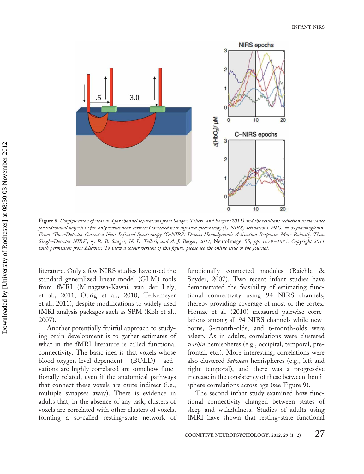

Figure 8. Configuration of near and far channel separations from Saager, Telleri, and Berger (2011) and the resultant reduction in variance for individual subjects in far-only versus near-corrected corrected near infrared spectroscopy (C-NIRS) activations. HbO<sub>2</sub> = oxyhaemoglobin. From "Two-Detector Corrected Near Infrared Spectroscopy (C-NIRS) Detects Hemodynamic Activation Responses More Robustly Than Single-Detector NIRS", by R. B. Saager, N. L. Telleri, and A. J. Berger, 2011, NeuroImage, 55, pp. 1679–1685. Copyright 2011 with permission from Elsevier. To view a colour version of this figure, please see the online issue of the Journal.

literature. Only a few NIRS studies have used the standard generalized linear model (GLM) tools from fMRI (Minagawa-Kawai, van der Lely, et al., 2011; Obrig et al., 2010; Telkemeyer et al., 2011), despite modifications to widely used fMRI analysis packages such as SPM (Koh et al., 2007).

Another potentially fruitful approach to studying brain development is to gather estimates of what in the fMRI literature is called functional connectivity. The basic idea is that voxels whose blood-oxygen-level-dependent (BOLD) activations are highly correlated are somehow functionally related, even if the anatomical pathways that connect these voxels are quite indirect (i.e., multiple synapses away). There is evidence in adults that, in the absence of any task, clusters of voxels are correlated with other clusters of voxels, forming a so-called resting-state network of

functionally connected modules (Raichle & Snyder, 2007). Two recent infant studies have demonstrated the feasibility of estimating functional connectivity using 94 NIRS channels, thereby providing coverage of most of the cortex. Homae et al. (2010) measured pairwise correlations among all 94 NIRS channels while newborns, 3-month-olds, and 6-month-olds were asleep. As in adults, correlations were clustered within hemispheres (e.g., occipital, temporal, prefrontal, etc.). More interesting, correlations were also clustered between hemispheres (e.g., left and right temporal), and there was a progressive increase in the consistency of these between-hemisphere correlations across age (see Figure 9).

The second infant study examined how functional connectivity changed between states of sleep and wakefulness. Studies of adults using fMRI have shown that resting-state functional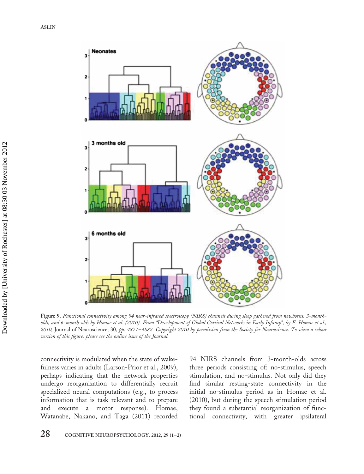

Figure 9. Functional connectivity among 94 near-infrared spectroscopy (NIRS) channels during sleep gathered from newborns, 3-montholds, and 6-month-olds by Homae et al. (2010). From "Development of Global Cortical Networks in Early Infancy", by F. Homae et al., 2010, Journal of Neuroscience, 30, pp. 4877–4882. Copyright 2010 by permission from the Society for Neuroscience. To view a colour version of this figure, please see the online issue of the Journal.

connectivity is modulated when the state of wakefulness varies in adults (Larson-Prior et al., 2009), perhaps indicating that the network properties undergo reorganization to differentially recruit specialized neural computations (e.g., to process information that is task relevant and to prepare and execute a motor response). Homae, Watanabe, Nakano, and Taga (2011) recorded

94 NIRS channels from 3-month-olds across three periods consisting of: no-stimulus, speech stimulation, and no-stimulus. Not only did they find similar resting-state connectivity in the initial no-stimulus period as in Homae et al. (2010), but during the speech stimulation period they found a substantial reorganization of functional connectivity, with greater ipsilateral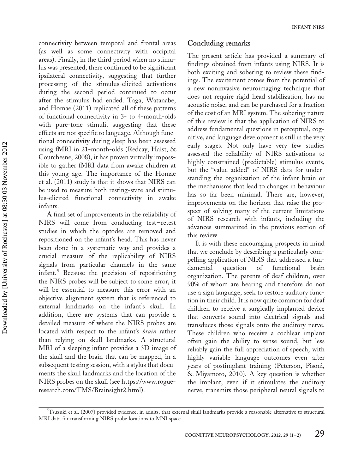connectivity between temporal and frontal areas (as well as some connectivity with occipital areas). Finally, in the third period when no stimulus was presented, there continued to be significant ipsilateral connectivity, suggesting that further processing of the stimulus-elicited activations during the second period continued to occur after the stimulus had ended. Taga, Watanabe, and Homae (2011) replicated all of these patterns of functional connectivity in 3- to 4-month-olds with pure-tone stimuli, suggesting that these effects are not specific to language. Although functional connectivity during sleep has been assessed using fMRI in 21-month-olds (Redcay, Haist, & Courchesne, 2008), it has proven virtually impossible to gather fMRI data from awake children at this young age. The importance of the Homae et al. (2011) study is that it shows that NIRS can be used to measure both resting-state and stimulus-elicited functional connectivity in awake infants.

A final set of improvements in the reliability of NIRS will come from conducting test-retest studies in which the optodes are removed and repositioned on the infant's head. This has never been done in a systematic way and provides a crucial measure of the replicability of NIRS signals from particular channels in the same infant.<sup>5</sup> Because the precision of repositioning the NIRS probes will be subject to some error, it will be essential to measure this error with an objective alignment system that is referenced to external landmarks on the infant's skull. In addition, there are systems that can provide a detailed measure of where the NIRS probes are located with respect to the infant's *brain* rather than relying on skull landmarks. A structural MRI of a sleeping infant provides a 3D image of the skull and the brain that can be mapped, in a subsequent testing session, with a stylus that documents the skull landmarks and the location of the NIRS probes on the skull (see [https://www.rogue](https://www.rogue-research.com/TMS/Brainsight2.html)[research.com/TMS/Brainsight2.html\)](https://www.rogue-research.com/TMS/Brainsight2.html).

### Concluding remarks

The present article has provided a summary of findings obtained from infants using NIRS. It is both exciting and sobering to review these findings. The excitement comes from the potential of a new noninvasive neuroimaging technique that does not require rigid head stabilization, has no acoustic noise, and can be purchased for a fraction of the cost of an MRI system. The sobering nature of this review is that the application of NIRS to address fundamental questions in perceptual, cognitive, and language development is still in the very early stages. Not only have very few studies assessed the reliability of NIRS activations to highly constrained (predictable) stimulus events, but the "value added" of NIRS data for understanding the organization of the infant brain or the mechanisms that lead to changes in behaviour has so far been minimal. There are, however, improvements on the horizon that raise the prospect of solving many of the current limitations of NIRS research with infants, including the advances summarized in the previous section of this review.

It is with these encouraging prospects in mind that we conclude by describing a particularly compelling application of NIRS that addressed a fundamental question of functional brain organization. The parents of deaf children, over 90% of whom are hearing and therefore do not use a sign language, seek to restore auditory function in their child. It is now quite common for deaf children to receive a surgically implanted device that converts sound into electrical signals and transduces those signals onto the auditory nerve. These children who receive a cochlear implant often gain the ability to sense sound, but less reliably gain the full appreciation of speech, with highly variable language outcomes even after years of postimplant training (Peterson, Pisoni, & Miyamoto, 2010). A key question is whether the implant, even if it stimulates the auditory nerve, transmits those peripheral neural signals to

 $^{5}$ Tsuzuki et al. (2007) provided evidence, in adults, that external skull landmarks provide a reasonable alternative to structural MRI data for transforming NIRS probe locations to MNI space.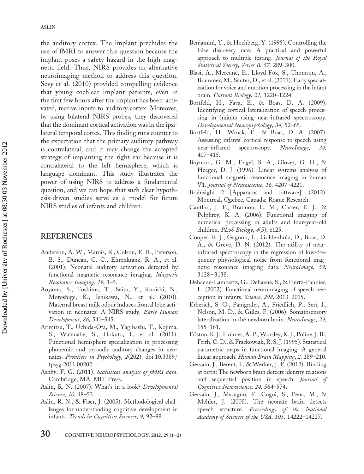the auditory cortex. The implant precludes the use of fMRI to answer this question because the implant poses a safety hazard in the high magnetic field. Thus, NIRS provides an alternative neuroimaging method to address this question. Sevy et al. (2010) provided compelling evidence that young cochlear implant patients, even in the first few hours after the implant has been activated, receive inputs to auditory cortex. Moreover, by using bilateral NIRS probes, they discovered that the dominant cortical activation was in the ipsilateral temporal cortex. This finding runs counter to the expectation that the primary auditory pathway is contralateral, and it may change the accepted strategy of implanting the right ear because it is contralateral to the left hemisphere, which is language dominant. This study illustrates the power of using NIRS to address a fundamental question, and we can hope that such clear hypothesis-driven studies serve as a model for future NIRS studies of infants and children.

#### REFERENCES

- Anderson, A. W., Marois, R., Colson, E. R., Peterson, B. S., Duncan, C. C., Ehrenkranz, R. A., et al. (2001). Neonatal auditory activation detected by functional magnetic resonance imaging. Magnetic Resonance Imaging, 19, 1–5.
- Aoyama, S., Toshima, T., Saito, Y., Konishi, N., Motoshige, K., Ishikawa, N., et al. (2010). Maternal breast milk odour induces frontal lobe activation in neonates: A NIRS study. Early Human Development, 86, 541–545.
- Arimitsu, T., Uchida-Ota, M., Yagihashi, T., Kojima, S., Watanabe, S., Hokuto, I., et al. (2011). Functional hemisphere specialization in processing phonemic and prosodic auditory changes in neonates. Frontiers in Psychology, 2(202). doi:10.3389/ fpsyg.2011.00202
- Ashby, F. G. (2011). Statistical analysis of fMRI data. Cambridge, MA: MIT Press.
- Aslin, R. N. (2007). What's in a look? Developmental Science, 10, 48–53.
- Aslin, R. N., & Fiser, J. (2005). Methodological challenges for understanding cognitive development in infants. Trends in Cognitive Sciences, 9, 92–98.
- Benjamini, Y., & Hochberg, Y. (1995). Controlling the false discovery rate: A practical and powerful approach to multiple testing. Journal of the Royal Statistical Society, Series B, 57, 289–300.
- Blasi, A., Mercune, E., Lloyd-Fox, S., Thomson, A., Brammer, M., Sauter, D., et al. (2011). Early specialization for voice and emotion processing in the infant brain. Current Biology, 21, 1220–1224.
- Bortfeld, H., Fava, E., & Boas, D. A. (2009). Identifying cortical lateralization of speech processing in infants using near-infrared spectroscopy. Developmental Neuropsychology, 34, 52–65.
- Bortfeld, H., Wruck, E., & Boas, D. A. (2007). Assessing infants' cortical response to speech using near-infrared spectroscopy. NeuroImage, 34, 407–415.
- Boynton, G. M., Engel, S. A., Glover, G. H., & Heeger, D. J. (1996). Linear systems analysis of functional magnetic resonance imaging in human V1. Journal of Neuroscience, 16, 4207–4221.
- Brainsight 2 [Apparatus and software]. (2012). Montreal, Quebec, Canada: Rogue Research.
- Cantlon, J. F., Brannon, E. M., Carter, E. J., & Pelphrey, K. A. (2006). Functional imaging of numerical processing in adults and four-year-old children. PLoS Biology, 4(5), e125.
- Cooper, R. J., Gagnon, L., Goldenholz, D., Boas, D. A., & Greve, D. N. (2012). The utility of nearinfrared spectroscopy in the regression of low-frequency physiological noise from functional magnetic resonance imaging data. NeuroImage, 59, 3128 – 3138.
- Dehaene-Lambertz, G., Dehaene, S., & Hertz-Pannier, L. (2002). Functional neuroimaging of speech perception in infants. Science, 298, 2013–2015.
- Erberich, S. G., Panigrahy, A., Friedlich, P., Seri, I., Nelson, M. D., & Gilles, F. (2006). Somatosensory lateralization in the newborn brain. NeuroImage, 29, 155–161.
- Friston, K. J., Holmes, A. P., Worsley, K. J., Poline, J. B., Frith, C. D., & Frackowiak, R. S. J. (1995). Statistical parametric maps in functional imaging: A general linear approach. Human Brain Mapping, 2, 189–210.
- Gervain, J., Berent, I., & Werker, J. F. (2012). Binding at birth: The newborn brain detects identity relations and sequential position in speech. Journal of Cognitive Neuroscience, 24, 564–574.
- Gervain, J., Macagno, F., Cogoi, S., Pena, M., & Mehler, J. (2008). The neonate brain detects speech structure. Proceedings of the National Academy of Sciences of the USA, 105, 14222–14227.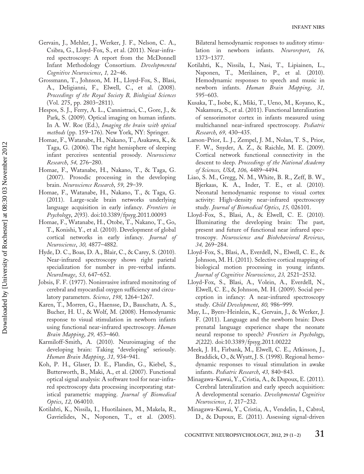- Gervain, J., Mehler, J., Werker, J. F., Nelson, C. A., Csibra, G., Lloyd-Fox, S., et al. (2011). Near-infrared spectroscopy: A report from the McDonnell Infant Methodology Consortium. Developmental Cognitive Neuroscience, 1, 22–46.
- Grossmann, T., Johnson, M. H., Lloyd-Fox, S., Blasi, A., Deligianni, F., Elwell, C., et al. (2008). Proceedings of the Royal Society B, Biological Sciences (Vol. 275, pp. 2803–2811).
- Hespos, S. J., Ferry, A. L., Cannistraci, C., Gore, J., & Park, S. (2009). Optical imaging on human infants. In A. W. Roe (Ed.), Imaging the brain with optical methods (pp. 159–176). New York, NY: Springer.
- Homae, F., Watanabe, H., Nakano, T., Asakawa, K., & Taga, G. (2006). The right hemisphere of sleeping infant perceives sentential prosody. Neuroscience Research, 54, 276–280.
- Homae, F., Watanabe, H., Nakano, T., & Taga, G. (2007). Prosodic processing in the developing brain. Neuroscience Research, 59, 29–39.
- Homae, F., Watanabe, H., Nakano, T., & Taga, G. (2011). Large-scale brain networks underlying language acquisition in early infancy. Frontiers in Psychology, 2(93). doi:10.3389/fpsyg.2011.00093
- Homae, F., Watanabe, H., Otobe, T., Nakano, T., Go, T., Konishi, Y., et al. (2010). Development of global cortical networks in early infancy. Journal of Neuroscience, 30, 4877–4882.
- Hyde, D. C., Boas, D. A., Blair, C., & Carey, S. (2010). Near-infrared spectroscopy shows right parietal specialization for number in pre-verbal infants. NeuroImage, 53, 647–652.
- Jobsis, F. F. (1977). Noninvasive infrared monitoring of cerebral and myocardial oxygen sufficiency and circulatory parameters. Science, 198, 1264-1267.
- Karen, T., Morren, G., Haensse, D., Bauschatz, A. S., Bucher, H. U., & Wolf, M. (2008). Hemodynamic response to visual stimulation in newborn infants using functional near-infrared spectroscopy. Human Brain Mapping, 29, 453–460.
- Karmiloff-Smith, A. (2010). Neuroimaging of the developing brain: Taking "developing" seriously. Human Brain Mapping, 31, 934–941.
- Koh, P. H., Glaser, D. E., Flandin, G., Kiebel, S., Butterworth, B., Maki, A., et al. (2007). Functional optical signal analysis: A software tool for near-infrared spectroscopy data processing incorporating statistical parametric mapping. Journal of Biomedical Optics, 12, 064010.
- Kotilahti, K., Nissila, I., Huotilainen, M., Makela, R., Gavrielides, N., Noponen, T., et al. (2005).

Bilateral hemodynamic responses to auditory stimulation in newborn infants. Neuroreport, 16, 1373–1377.

- Kotilahti, K., Nissila, I., Nasi, T., Lipiainen, L., Naponen, T., Merilainen, P., et al. (2010). Hemodynamic responses to speech and music in newborn infants. Human Brain Mapping, 31, 595–603.
- Kusaka, T., Isobe, K., Miki, T., Ueno, M., Koyano, K., Nakamura, S., et al. (2011). Functional lateralization of sensorimotor cortex in infants measured using multichannel near-infrared spectroscopy. Pediatric Research, 69, 430–435.
- Larson-Prior, L. J., Zempel, J. M., Nolan, T. S., Prior, F. W., Snyder, A. Z., & Raichle, M. E. (2009). Cortical network functional connectivity in the descent to sleep. Proceedings of the National Academy of Sciences, USA, 106, 4489–4494.
- Liao, S. M., Gregg, N. M., White, B. R., Zeff, B. W., Bjerkaas, K. A., Inder, T. E., et al. (2010). Neonatal hemodynamic response to visual cortex activity: High-density near-infrared spectroscopy study. Journal of Biomedical Optics, 15, 026101.
- Lloyd-Fox, S., Blasi, A., & Elwell, C. E. (2010). Illuminating the developing brain: The past, present and future of functional near infrared spectroscopy. Neuroscience and Biobehavioral Reviews, 34, 269–284.
- Lloyd-Fox, S., Blasi, A., Everdell, N., Elwell, C. E., & Johnson, M. H. (2011). Selective cortical mapping of biological motion processing in young infants. Journal of Cognitive Neuroscience, 23, 2521–2532.
- Lloyd-Fox, S., Blasi, A., Volein, A., Everdell, N., Elwell, C. E., & Johnson, M. H. (2009). Social perception in infancy: A near-infrared spectroscopy study. Child Development, 80, 986–999.
- May, L., Byers-Heinlein, K., Gervain, J., & Werker, J. F. (2011). Language and the newborn brain: Does prenatal language experience shape the neonate neural response to speech? Frontiers in Psychology, 2(222). doi:10.3389/fpsyg.2011.00222
- Meek, J. H., Firbank, M., Elwell, C. E., Atkinson, J., Braddick, O., & Wyatt, J. S. (1998). Regional hemodynamic responses to visual stimulation in awake infants. Pediatric Research, 43, 840–843.
- Minagawa-Kawai, Y., Cristia, A., & Dupoux, E. (2011). Cerebral lateralization and early speech acquisition: A developmental scenario. Developmental Cognitive Neuroscience, 1, 217–232.
- Minagawa-Kawai, Y., Cristia, A., Vendelin, I., Cabrol, D., & Dupoux, E. (2011). Assessing signal-driven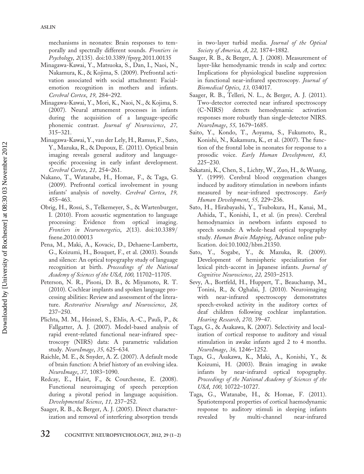mechanisms in neonates: Brain responses to temporally and spectrally different sounds. Frontiers in Psychology, 2(135). doi:10.3389/fpsyg.2011.00135

- Minagawa-Kawai, Y., Matsuoka, S., Dan, I., Naoi, N., Nakamura, K., & Kojima, S. (2009). Prefrontal activation associated with social attachment: Facialemotion recognition in mothers and infants. Cerebral Cortex, 19, 284–292.
- Minagawa-Kawai, Y., Mori, K., Naoi, N., & Kojima, S. (2007). Neural attunement processes in infants during the acquisition of a language-specific phonemic contrast. Journal of Neuroscience, 27, 315–321.
- Minagawa-Kawai, Y., van der Lely, H., Ramus, F., Sato, Y., Mazuka, R., & Dupoux, E. (2011). Optical brain imaging reveals general auditory and languagespecific processing in early infant development. Cerebral Cortex, 21, 254–261.
- Nakano, T., Watanabe, H., Homae, F., & Taga, G. (2009). Prefrontal cortical involvement in young infants' analysis of novelty. Cerebral Cortex, 19, 455–463.
- Obrig, H., Rossi, S., Telkemeyer, S., & Wartenburger, I. (2010). From acoustic segmentation to language processing: Evidence from optical imaging. Frontiers in Neuroenergetics, 2(13). doi:10.3389/ fnene.2010.00013
- Pena, M., Maki, A., Kovacic, D., Dehaene-Lambertz, G., Koizumi, H., Bouquet, F., et al. (2003). Sounds and silence: An optical topography study of language recognition at birth. Proceedings of the National Academy of Sciences of the USA, 100, 11702–11705.
- Peterson, N. R., Pisoni, D. B., & Miyamoto, R. T. (2010). Cochlear implants and spoken language processing abilities: Review and assessment of the literature. Restorative Neurology and Neuroscience, 28, 237–250.
- Plichta, M. M., Heinzel, S., Ehlis, A.-C., Pauli, P., & Fallgatter, A. J. (2007). Model-based analysis of rapid event-related functional near-infrared spectroscopy (NIRS) data: A parametric validation study. NeuroImage, 35, 625–634.
- Raichle, M. E., & Snyder, A. Z. (2007). A default mode of brain function: A brief history of an evolving idea. NeuroImage, 37, 1083–1090.
- Redcay, E., Haist, F., & Courchesne, E. (2008). Functional neuroimaging of speech perception during a pivotal period in language acquisition. Developmental Science, 11, 237–252.
- Saager, R. B., & Berger, A. J. (2005). Direct characterization and removal of interfering absorption trends

in two-layer turbid media. Journal of the Optical Society of America, A, 22, 1874–1882.

- Saager, R. B., & Berger, A. J. (2008). Measurement of layer-like hemodynamic trends in scalp and cortex: Implications for physiological baseline suppression in functional near-infrared spectroscopy. Journal of Biomedical Optics, 13, 034017.
- Saager, R. B., Telleri, N. L., & Berger, A. J. (2011). Two-detector corrected near infrared spectroscopy (C-NIRS) detects hemodynamic activation responses more robustly than single-detector NIRS. NeuroImage, 55, 1679–1685.
- Saito, Y., Kondo, T., Aoyama, S., Fukumoto, R., Konishi, N., Kakamura, K., et al. (2007). The function of the frontal lobe in neonates for response to a prosodic voice. Early Human Development, 83, 225–230.
- Sakatani, K., Chen, S., Lichty, W., Zuo, H., & Wuang, Y. (1999). Cerebral blood oxygenation changes induced by auditory stimulation in newborn infants measured by near-infrared spectroscopy. Early Human Development, 55, 229–236.
- Sato, H., Hirabayashi, Y., Tsubokura, H., Kanai, M., Ashida, T., Konishi, I., et al. (in press). Cerebral hemodynamics in newborn infants exposed to speech sounds: A whole-head optical topography study. Human Brain Mapping, Advance online publication. doi:10.1002/hbm.21350.
- Sato, Y., Sogabe, Y., & Mazuka, R. (2009). Development of hemispheric specialization for lexical pitch-accent in Japanese infants. Journal of Cognitive Neuroscience, 22, 2503–2513.
- Sevy, A., Bortfeld, H., Huppert, T., Beauchamp, M., Tonini, R., & Oghalai, J. (2010). Neuroimaging with near-infrared spectroscopy demonstrates speech-evoked activity in the auditory cortex of deaf children following cochlear implantation. Hearing Research, 270, 39–47.
- Taga, G., & Asakawa, K. (2007). Selectivity and localization of cortical response to auditory and visual stimulation in awake infants aged 2 to 4 months. NeuroImage, 36, 1246–1252.
- Taga, G., Asakawa, K., Maki, A., Konishi, Y., & Koizumi, H. (2003). Brain imaging in awake infants by near-infrared optical topography. Proceedings of the National Academy of Sciences of the USA, 100, 10722–10727.
- Taga, G., Watanabe, H., & Homae, F. (2011). Spatiotemporal properties of cortical haemodynamic response to auditory stimuli in sleeping infants revealed by multi-channel near-infrared